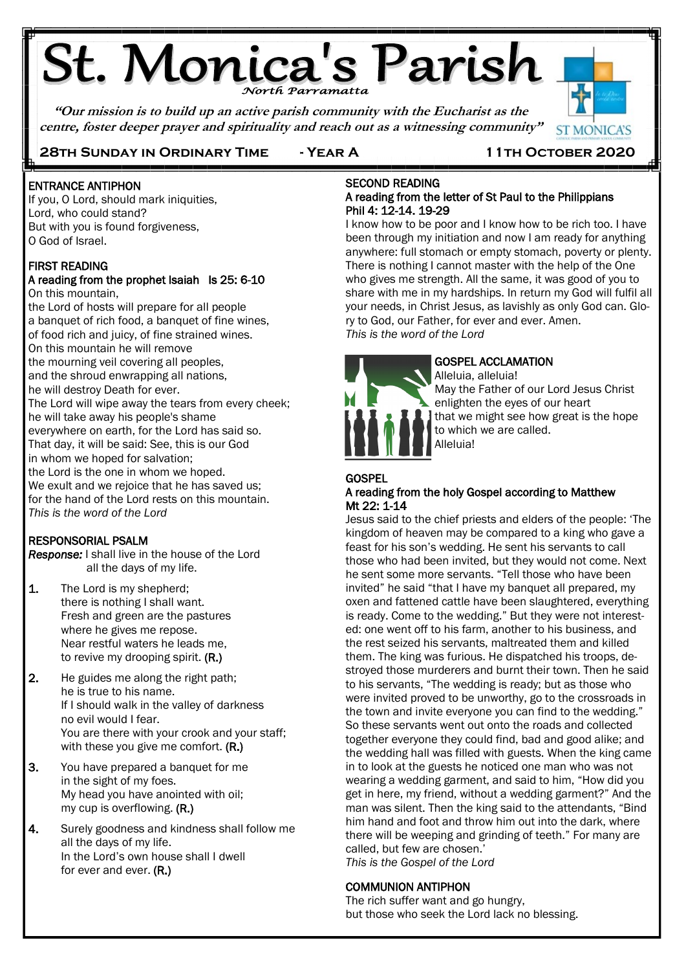# **St. Monica's Parish**

**"Our mission is to build up an active parish community with the Eucharist as the centre, foster deeper prayer and spirituality and reach out as a witnessing community"**



#### **28th Sunday in Ordinary Time - Year A 11th October 2020**

#### Ï ENTRANCE ANTIPHON

Ę

If you, O Lord, should mark iniquities, Lord, who could stand? But with you is found forgiveness, O God of Israel.

#### FIRST READING A reading from the prophet Isaiah Is 25: 6-10 On this mountain,

the Lord of hosts will prepare for all people a banquet of rich food, a banquet of fine wines, of food rich and juicy, of fine strained wines. On this mountain he will remove the mourning veil covering all peoples, and the shroud enwrapping all nations, he will destroy Death for ever. The Lord will wipe away the tears from every cheek; he will take away his people's shame everywhere on earth, for the Lord has said so. That day, it will be said: See, this is our God in whom we hoped for salvation; the Lord is the one in whom we hoped. We exult and we rejoice that he has saved us: for the hand of the Lord rests on this mountain. *This is the word of the Lord*

#### RESPONSORIAL PSALM

j

*Response:* I shall live in the house of the Lord all the days of my life.

- 1. The Lord is my shepherd; there is nothing I shall want. Fresh and green are the pastures where he gives me repose. Near restful waters he leads me, to revive my drooping spirit. (R.)
- 2. He guides me along the right path; he is true to his name. If I should walk in the valley of darkness no evil would I fear. You are there with your crook and your staff; with these you give me comfort. (R.)
- 3. You have prepared a banquet for me in the sight of my foes. My head you have anointed with oil; my cup is overflowing. (R.)
- 4. Surely goodness and kindness shall follow me all the days of my life. In the Lord's own house shall I dwell for ever and ever. (R.)

#### SECOND READING A reading from the letter of St Paul to the Philippians Phil 4: 12-14. 19-29

I know how to be poor and I know how to be rich too. I have been through my initiation and now I am ready for anything anywhere: full stomach or empty stomach, poverty or plenty. There is nothing I cannot master with the help of the One who gives me strength. All the same, it was good of you to share with me in my hardships. In return my God will fulfil all your needs, in Christ Jesus, as lavishly as only God can. Glory to God, our Father, for ever and ever. Amen. *This is the word of the Lord*



#### GOSPEL ACCLAMATION

Alleluia, alleluia! May the Father of our Lord Jesus Christ enlighten the eyes of our heart that we might see how great is the hope to which we are called. Alleluia!

#### **GOSPEL** A reading from the holy Gospel according to Matthew Mt 22: 1-14

Jesus said to the chief priests and elders of the people: 'The kingdom of heaven may be compared to a king who gave a feast for his son's wedding. He sent his servants to call those who had been invited, but they would not come. Next he sent some more servants. "Tell those who have been invited" he said "that I have my banquet all prepared, my oxen and fattened cattle have been slaughtered, everything is ready. Come to the wedding." But they were not interested: one went off to his farm, another to his business, and the rest seized his servants, maltreated them and killed them. The king was furious. He dispatched his troops, destroyed those murderers and burnt their town. Then he said to his servants, "The wedding is ready; but as those who were invited proved to be unworthy, go to the crossroads in the town and invite everyone you can find to the wedding." So these servants went out onto the roads and collected together everyone they could find, bad and good alike; and the wedding hall was filled with guests. When the king came in to look at the guests he noticed one man who was not wearing a wedding garment, and said to him, "How did you get in here, my friend, without a wedding garment?" And the man was silent. Then the king said to the attendants, "Bind him hand and foot and throw him out into the dark, where there will be weeping and grinding of teeth." For many are called, but few are chosen.' *This is the Gospel of the Lord*

#### COMMUNION ANTIPHON

The rich suffer want and go hungry, but those who seek the Lord lack no blessing.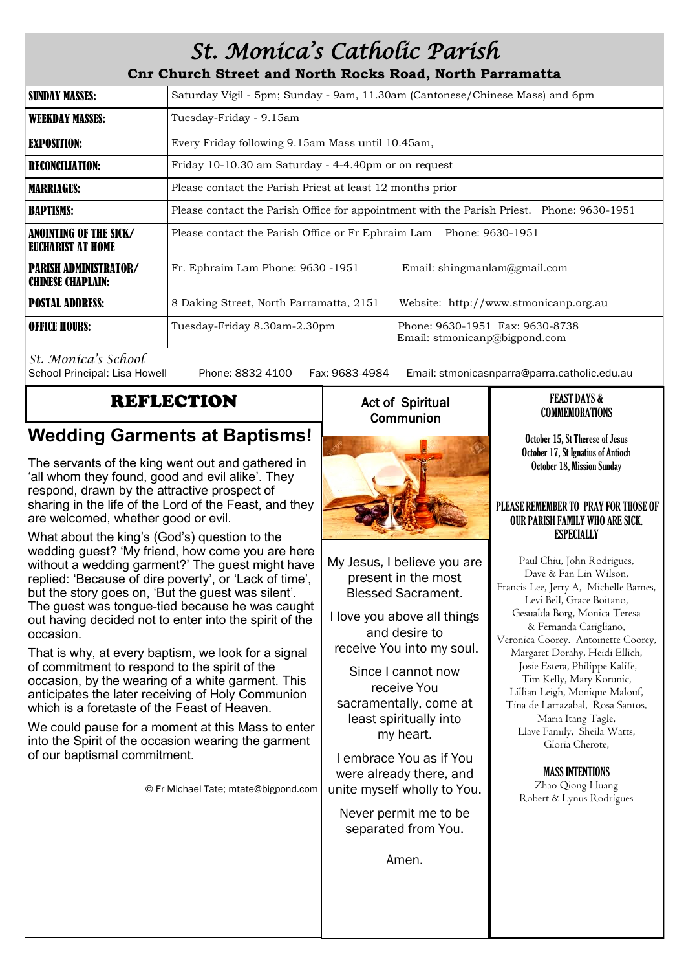# *St. Monica's Catholic Parish*

**Cnr Church Street and North Rocks Road, North Parramatta**

| <b>SUNDAY MASSES:</b>                                    | Saturday Vigil - 5pm; Sunday - 9am, 11.30am (Cantonese/Chinese Mass) and 6pm                     |  |  |
|----------------------------------------------------------|--------------------------------------------------------------------------------------------------|--|--|
| <b>WEEKDAY MASSES:</b>                                   | Tuesday-Friday - 9.15am                                                                          |  |  |
| <b>EXPOSITION:</b>                                       | Every Friday following 9.15am Mass until 10.45am,                                                |  |  |
| <b>RECONCILIATION:</b>                                   | Friday 10-10.30 am Saturday - 4-4.40pm or on request                                             |  |  |
| <b>MARRIAGES:</b>                                        | Please contact the Parish Priest at least 12 months prior                                        |  |  |
| <b>BAPTISMS:</b>                                         | Please contact the Parish Office for appointment with the Parish Priest. Phone: 9630-1951        |  |  |
| ANOINTING OF THE SICK/<br>EUCHARIST AT HOME              | Please contact the Parish Office or Fr Ephraim Lam Phone: 9630-1951                              |  |  |
| <b>PARISH ADMINISTRATOR/</b><br><b>CHINESE CHAPLAIN:</b> | Fr. Ephraim Lam Phone: 9630 -1951<br>Email: shingmanlam@gmail.com                                |  |  |
| <b>POSTAL ADDRESS:</b>                                   | 8 Daking Street, North Parramatta, 2151<br>Website: http://www.stmonicanp.org.au                 |  |  |
| <b>OFFICE HOURS:</b>                                     | Phone: 9630-1951 Fax: 9630-8738<br>Tuesday-Friday 8.30am-2.30pm<br>Email: stmonicanp@bigpond.com |  |  |

*St. Monica's School*

Phone: 8832 4100 Fax: 9683-4984 Email: stmonicasnparra@parra.catholic.edu.au

# REFLECTION

# **Wedding Garments at Baptisms!**

The servants of the king went out and gathered in 'all whom they found, good and evil alike'. They respond, drawn by the attractive prospect of sharing in the life of the Lord of the Feast, and they are welcomed, whether good or evil.

What about the king's (God's) question to the wedding guest? 'My friend, how come you are here without a wedding garment?' The guest might have replied: 'Because of dire poverty', or 'Lack of time', but the story goes on, 'But the guest was silent'. The guest was tongue-tied because he was caught out having decided not to enter into the spirit of the occasion.

That is why, at every baptism, we look for a signal of commitment to respond to the spirit of the occasion, by the wearing of a white garment. This anticipates the later receiving of Holy Communion which is a foretaste of the Feast of Heaven.

We could pause for a moment at this Mass to enter into the Spirit of the occasion wearing the garment of our baptismal commitment.

© Fr Michael Tate; mtate@bigpond.com

## Act of Spiritual **Communion**



My Jesus, I believe you are present in the most Blessed Sacrament.

I love you above all things and desire to receive You into my soul.

Since I cannot now receive You sacramentally, come at least spiritually into my heart.

I embrace You as if You were already there, and unite myself wholly to You.

Never permit me to be separated from You.

Amen.

#### FEAST DAYS & **COMMEMORATIONS**

October 15, St Therese of Jesus October 17, St Ignatius of Antioch October 18, Mission Sunday

#### PLEASE REMEMBER TO PRAY FOR THOSE OF OUR PARISH FAMILY WHO ARE SICK. **ESPECIALLY**

Paul Chiu, John Rodrigues, Dave & Fan Lin Wilson, Francis Lee, Jerry A, Michelle Barnes, Levi Bell, Grace Boitano, Gesualda Borg, Monica Teresa & Fernanda Carigliano, Veronica Coorey. Antoinette Coorey, Margaret Dorahy, Heidi Ellich, Josie Estera, Philippe Kalife, Tim Kelly, Mary Korunic, Lillian Leigh, Monique Malouf, Tina de Larrazabal, Rosa Santos, Maria Itang Tagle, Llave Family, Sheila Watts, Gloria Cherote,

> MASS INTENTIONS Zhao Qiong Huang Robert & Lynus Rodrigues